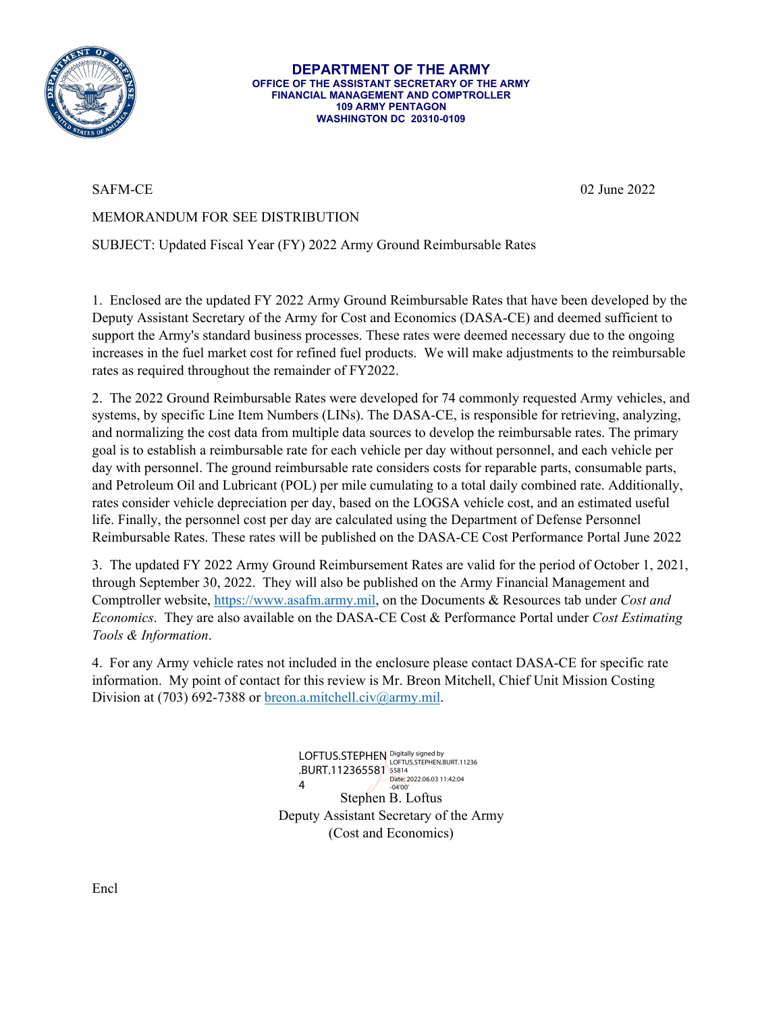

**DEPARTMENT OF THE ARMY OFFICE OF THE ASSISTANT SECRETARY OF THE ARMY FINANCIAL MANAGEMENT AND COMPTROLLER 109 ARMY PENTAGON WASHINGTON DC 20310-0109**

SAFM-CE 02 June 2022

## MEMORANDUM FOR SEE DISTRIBUTION

SUBJECT: Updated Fiscal Year (FY) 2022 Army Ground Reimbursable Rates

1. Enclosed are the updated FY 2022 Army Ground Reimbursable Rates that have been developed by the Deputy Assistant Secretary of the Army for Cost and Economics (DASA-CE) and deemed sufficient to support the Army's standard business processes. These rates were deemed necessary due to the ongoing increases in the fuel market cost for refined fuel products. We will make adjustments to the reimbursable rates as required throughout the remainder of FY2022.

2. The 2022 Ground Reimbursable Rates were developed for 74 commonly requested Army vehicles, and systems, by specific Line Item Numbers (LINs). The DASA-CE, is responsible for retrieving, analyzing, and normalizing the cost data from multiple data sources to develop the reimbursable rates. The primary goal is to establish a reimbursable rate for each vehicle per day without personnel, and each vehicle per day with personnel. The ground reimbursable rate considers costs for reparable parts, consumable parts, and Petroleum Oil and Lubricant (POL) per mile cumulating to a total daily combined rate. Additionally, rates consider vehicle depreciation per day, based on the LOGSA vehicle cost, and an estimated useful life. Finally, the personnel cost per day are calculated using the Department of Defense Personnel Reimbursable Rates. These rates will be published on the DASA-CE Cost Performance Portal June 2022

3. The updated FY 2022 Army Ground Reimbursement Rates are valid for the period of October 1, 2021, through September 30, 2022. They will also be published on the Army Financial Management and Comptroller website, [https://www.asafm.army.mil,](https://www.asafm.army.mil/) on the Documents & Resources tab under *Cost and Economics*. They are also available on the DASA-CE Cost & Performance Portal under *Cost Estimating Tools & Information*.

4. For any Army vehicle rates not included in the enclosure please contact DASA-CE for specific rate information. My point of contact for this review is Mr. Breon Mitchell, Chief Unit Mission Costing Division at (703) 692-7388 o[r breon.a.mitchell.civ@army.mil.](mailto:breon.a.mitchell.civ@army.mil)

> Stephen B. Loftus Deputy Assistant Secretary of the Army (Cost and Economics) LOFTUS.STEPHEN Digitally signed by<br>LOFTUS.STEPHEN. LOFTUS.STEPHEN.BURT.11236 .BURT.112365581 55814 4 Date: 2022.06.03 11:42:04 -04'00'